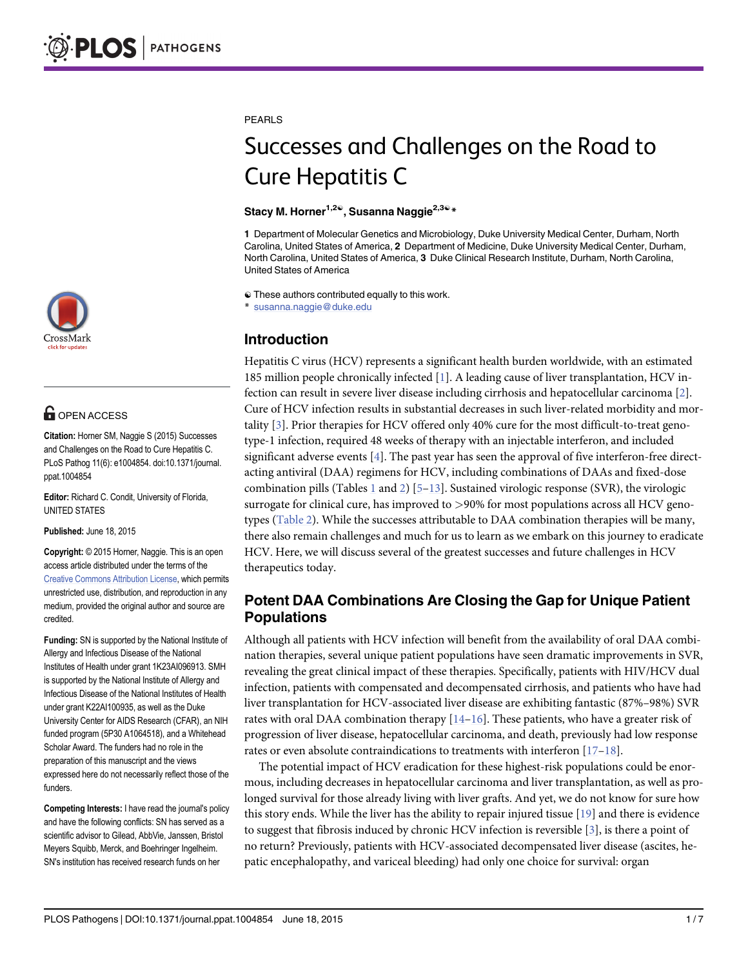

## **G** OPEN ACCESS

Citation: Horner SM, Naggie S (2015) Successes and Challenges on the Road to Cure Hepatitis C. PLoS Pathog 11(6): e1004854. doi:10.1371/journal. ppat.1004854

Editor: Richard C. Condit, University of Florida, UNITED STATES

Published: June 18, 2015

Copyright: © 2015 Horner, Naggie. This is an open access article distributed under the terms of the [Creative Commons Attribution License,](http://creativecommons.org/licenses/by/4.0/) which permits unrestricted use, distribution, and reproduction in any medium, provided the original author and source are credited.

Funding: SN is supported by the National Institute of Allergy and Infectious Disease of the National Institutes of Health under grant 1K23AI096913. SMH is supported by the National Institute of Allergy and Infectious Disease of the National Institutes of Health under grant K22AI100935, as well as the Duke University Center for AIDS Research (CFAR), an NIH funded program (5P30 A1064518), and a Whitehead Scholar Award. The funders had no role in the preparation of this manuscript and the views expressed here do not necessarily reflect those of the funders.

Competing Interests: I have read the journal's policy and have the following conflicts: SN has served as a scientific advisor to Gilead, AbbVie, Janssen, Bristol Meyers Squibb, Merck, and Boehringer Ingelheim. SN's institution has received research funds on her

#### <span id="page-0-0"></span>PEARLS

# Successes and Challenges on the Road to Cure Hepatitis C

### Stacy M. Horner<sup>1,2©</sup>, Susanna Naggie<sup>2,3©</sup> \*

1 Department of Molecular Genetics and Microbiology, Duke University Medical Center, Durham, North Carolina, United States of America, 2 Department of Medicine, Duke University Medical Center, Durham, North Carolina, United States of America, 3 Duke Clinical Research Institute, Durham, North Carolina, United States of America

☯ These authors contributed equally to this work.

susanna.naggie@duke.edu

## Introduction

Hepatitis C virus (HCV) represents a significant health burden worldwide, with an estimated 185 million people chronically infected [[1\]](#page-5-0). A leading cause of liver transplantation, HCV infection can result in severe liver disease including cirrhosis and hepatocellular carcinoma [\[2](#page-5-0)]. Cure of HCV infection results in substantial decreases in such liver-related morbidity and mortality [[3\]](#page-5-0). Prior therapies for HCV offered only 40% cure for the most difficult-to-treat genotype-1 infection, required 48 weeks of therapy with an injectable interferon, and included significant adverse events  $[4]$  $[4]$ . The past year has seen the approval of five interferon-free directacting antiviral (DAA) regimens for HCV, including combinations of DAAs and fixed-dose combination pills (Tables  $\perp$  and  $\geq$ ) [5–[1](#page-1-0)3]. Sustained virologic response (SVR), the virologic surrogate for clinical cure, has improved to >90% for most populations across all HCV genotypes [\(Table 2\)](#page-2-0). While the successes attributable to DAA combination therapies will be many, there also remain challenges and much for us to learn as we embark on this journey to eradicate HCV. Here, we will discuss several of the greatest successes and future challenges in HCV therapeutics today.

## Potent DAA Combinations Are Closing the Gap for Unique Patient Populations

Although all patients with HCV infection will benefit from the availability of oral DAA combination therapies, several unique patient populations have seen dramatic improvements in SVR, revealing the great clinical impact of these therapies. Specifically, patients with HIV/HCV dual infection, patients with compensated and decompensated cirrhosis, and patients who have had liver transplantation for HCV-associated liver disease are exhibiting fantastic (87%–98%) SVR rates with oral DAA combination therapy  $[14-16]$  $[14-16]$  $[14-16]$  $[14-16]$  $[14-16]$ . These patients, who have a greater risk of progression of liver disease, hepatocellular carcinoma, and death, previously had low response rates or even absolute contraindications to treatments with interferon [\[17](#page-5-0)–[18\]](#page-5-0).

The potential impact of HCV eradication for these highest-risk populations could be enormous, including decreases in hepatocellular carcinoma and liver transplantation, as well as prolonged survival for those already living with liver grafts. And yet, we do not know for sure how this story ends. While the liver has the ability to repair injured tissue [[19](#page-6-0)] and there is evidence to suggest that fibrosis induced by chronic HCV infection is reversible [\[3](#page-5-0)], is there a point of no return? Previously, patients with HCV-associated decompensated liver disease (ascites, hepatic encephalopathy, and variceal bleeding) had only one choice for survival: organ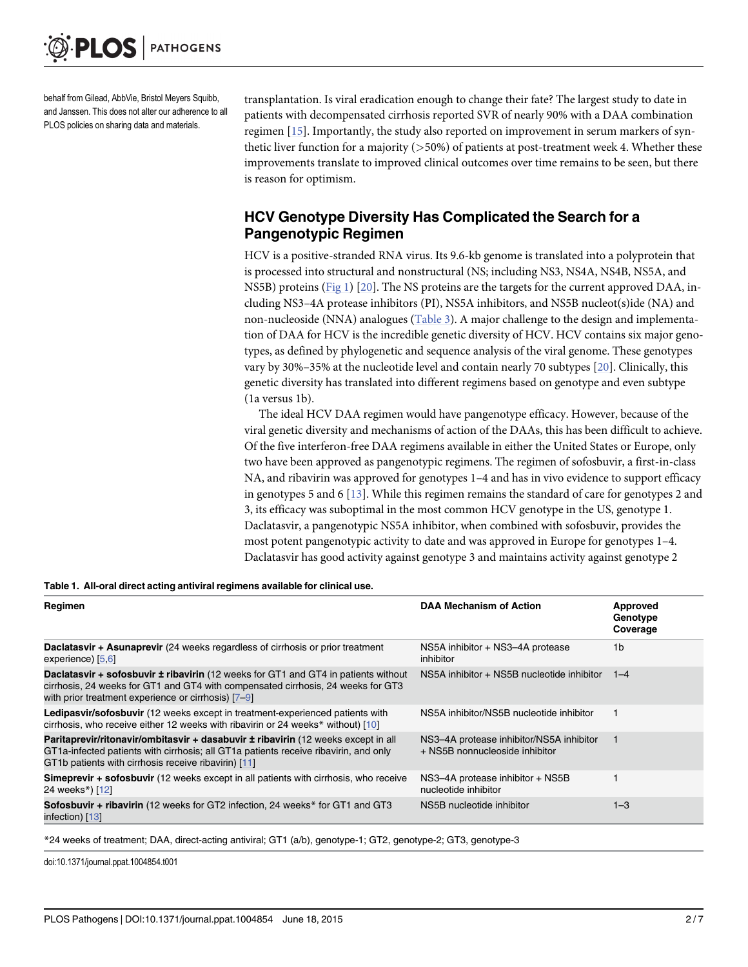<span id="page-1-0"></span>behalf from Gilead, AbbVie, Bristol Meyers Squibb, and Janssen. This does not alter our adherence to all PLOS policies on sharing data and materials.

transplantation. Is viral eradication enough to change their fate? The largest study to date in patients with decompensated cirrhosis reported SVR of nearly 90% with a DAA combination regimen [\[15\]](#page-5-0). Importantly, the study also reported on improvement in serum markers of synthetic liver function for a majority  $($  > 50%) of patients at post-treatment week 4. Whether these improvements translate to improved clinical outcomes over time remains to be seen, but there is reason for optimism.

## HCV Genotype Diversity Has Complicated the Search for a Pangenotypic Regimen

HCV is a positive-stranded RNA virus. Its 9.6-kb genome is translated into a polyprotein that is processed into structural and nonstructural (NS; including NS3, NS4A, NS4B, NS5A, and NS5B) proteins ([Fig 1](#page-2-0)) [\[20\]](#page-6-0). The NS proteins are the targets for the current approved DAA, including NS3–4A protease inhibitors (PI), NS5A inhibitors, and NS5B nucleot(s)ide (NA) and non-nucleoside (NNA) analogues [\(Table 3\)](#page-3-0). A major challenge to the design and implementation of DAA for HCV is the incredible genetic diversity of HCV. HCV contains six major genotypes, as defined by phylogenetic and sequence analysis of the viral genome. These genotypes vary by 30%–35% at the nucleotide level and contain nearly 70 subtypes [\[20\]](#page-6-0). Clinically, this genetic diversity has translated into different regimens based on genotype and even subtype (1a versus 1b).

The ideal HCV DAA regimen would have pangenotype efficacy. However, because of the viral genetic diversity and mechanisms of action of the DAAs, this has been difficult to achieve. Of the five interferon-free DAA regimens available in either the United States or Europe, only two have been approved as pangenotypic regimens. The regimen of sofosbuvir, a first-in-class NA, and ribavirin was approved for genotypes 1–4 and has in vivo evidence to support efficacy in genotypes 5 and 6  $[13]$  $[13]$ . While this regimen remains the standard of care for genotypes 2 and 3, its efficacy was suboptimal in the most common HCV genotype in the US, genotype 1. Daclatasvir, a pangenotypic NS5A inhibitor, when combined with sofosbuvir, provides the most potent pangenotypic activity to date and was approved in Europe for genotypes 1–4. Daclatasvir has good activity against genotype 3 and maintains activity against genotype 2

| Regimen                                                                                                                                                                                                                                | <b>DAA Mechanism of Action</b>                                             | Approved<br>Genotype<br>Coverage |
|----------------------------------------------------------------------------------------------------------------------------------------------------------------------------------------------------------------------------------------|----------------------------------------------------------------------------|----------------------------------|
| <b>Daclatasvir + Asunaprevir</b> (24 weeks regardless of cirrhosis or prior treatment<br>experience) [5,6]                                                                                                                             | NS5A inhibitor + NS3-4A protease<br>inhibitor                              | 1 <sub>b</sub>                   |
| <b>Daclatasvir + sofosbuvir ± ribavirin</b> (12 weeks for GT1 and GT4 in patients without<br>cirrhosis, 24 weeks for GT1 and GT4 with compensated cirrhosis, 24 weeks for GT3<br>with prior treatment experience or cirrhosis) $[7-9]$ | NS5A inhibitor + NS5B nucleotide inhibitor                                 | $1 - 4$                          |
| Ledipasvir/sofosbuvir (12 weeks except in treatment-experienced patients with<br>cirrhosis, who receive either 12 weeks with ribavirin or 24 weeks* without) [10]                                                                      | NS5A inhibitor/NS5B nucleotide inhibitor                                   |                                  |
| Paritaprevir/ritonavir/ombitasvir + dasabuvir ± ribavirin (12 weeks except in all<br>GT1a-infected patients with cirrhosis; all GT1a patients receive ribavirin, and only<br>GT1b patients with cirrhosis receive ribavirin) [11]      | NS3-4A protease inhibitor/NS5A inhibitor<br>+ NS5B nonnucleoside inhibitor |                                  |
| <b>Simeprevir + sofosbuvir</b> (12 weeks except in all patients with cirrhosis, who receive<br>24 weeks <sup>*</sup> ) [12]                                                                                                            | NS3-4A protease inhibitor + NS5B<br>nucleotide inhibitor                   |                                  |
| Sofosbuvir + ribavirin (12 weeks for GT2 infection, 24 weeks* for GT1 and GT3<br>infection) [13]                                                                                                                                       | NS5B nucleotide inhibitor                                                  | $1 - 3$                          |

\*24 weeks of treatment; DAA, direct-acting antiviral; GT1 (a/b), genotype-1; GT2, genotype-2; GT3, genotype-3

doi:10.1371/journal.ppat.1004854.t001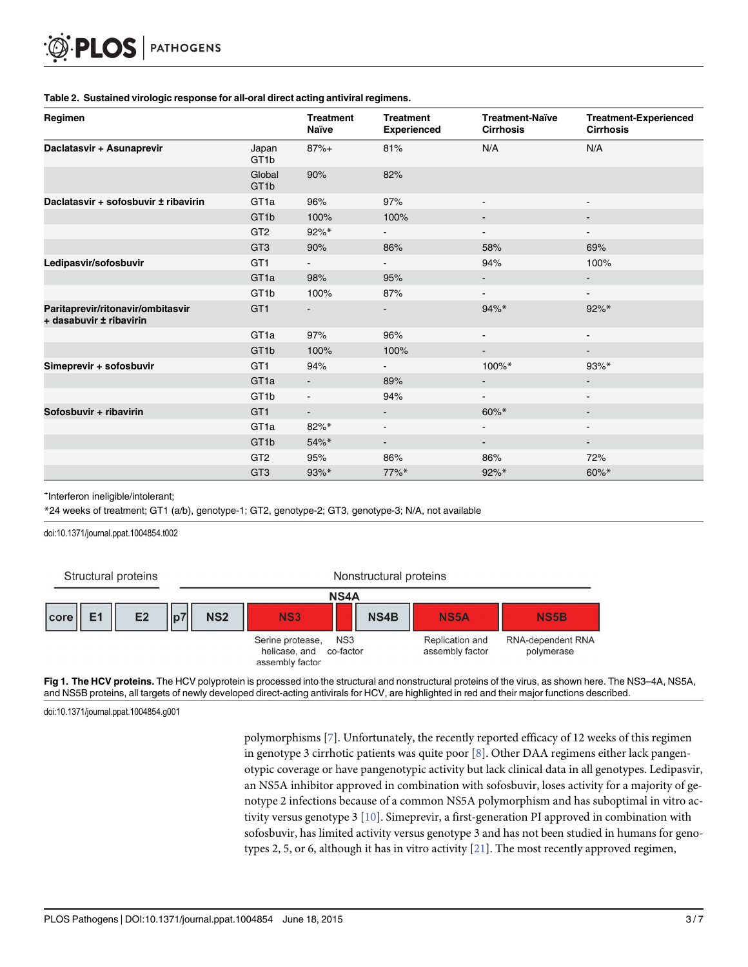#### <span id="page-2-0"></span>[Table 2.](#page-0-0) Sustained virologic response for all-oral direct acting antiviral regimens.

| Regimen                                                      |                             | <b>Treatment</b><br><b>Naïve</b> | <b>Treatment</b><br><b>Experienced</b> | <b>Treatment-Naïve</b><br><b>Cirrhosis</b> | <b>Treatment-Experienced</b><br><b>Cirrhosis</b> |
|--------------------------------------------------------------|-----------------------------|----------------------------------|----------------------------------------|--------------------------------------------|--------------------------------------------------|
| Daclatasvir + Asunaprevir                                    | Japan<br>GT <sub>1</sub> b  | $87%+$                           | 81%                                    | N/A                                        | N/A                                              |
|                                                              | Global<br>GT <sub>1</sub> b | 90%                              | 82%                                    |                                            |                                                  |
| Daclatasvir + sofosbuvir ± ribavirin                         | GT <sub>1a</sub>            | 96%                              | 97%                                    | $\blacksquare$                             |                                                  |
|                                                              | GT <sub>1b</sub>            | 100%                             | 100%                                   | $\blacksquare$                             | $\overline{\phantom{a}}$                         |
|                                                              | GT <sub>2</sub>             | $92\%*$                          | $\sim$                                 | $\blacksquare$                             | $\blacksquare$                                   |
|                                                              | GT <sub>3</sub>             | 90%                              | 86%                                    | 58%                                        | 69%                                              |
| Ledipasvir/sofosbuvir                                        | GT <sub>1</sub>             | $\sim$                           | $\sim$ 100 $\mu$                       | 94%                                        | 100%                                             |
|                                                              | GT <sub>1a</sub>            | 98%                              | 95%                                    | $\blacksquare$                             | ۰.                                               |
|                                                              | GT <sub>1</sub> b           | 100%                             | 87%                                    | $\blacksquare$                             | $\overline{\phantom{a}}$                         |
| Paritaprevir/ritonavir/ombitasvir<br>+ dasabuvir ± ribavirin | GT <sub>1</sub>             | ٠                                |                                        | $94\%*$                                    | $92\%*$                                          |
|                                                              | GT <sub>1a</sub>            | 97%                              | 96%                                    | $\blacksquare$                             | $\overline{\phantom{a}}$                         |
|                                                              | GT <sub>1b</sub>            | 100%                             | 100%                                   | ۰.                                         |                                                  |
| Simeprevir + sofosbuvir                                      | GT <sub>1</sub>             | 94%                              |                                        | 100%*                                      | $93\%*$                                          |
|                                                              | GT <sub>1a</sub>            | ۰.                               | 89%                                    | $\blacksquare$                             |                                                  |
|                                                              | GT <sub>1</sub> b           | Ξ.                               | 94%                                    | $\overline{\phantom{0}}$                   |                                                  |
| Sofosbuvir + ribavirin                                       | GT <sub>1</sub>             | ۰.                               |                                        | $60\%*$                                    | ۰.                                               |
|                                                              | GT <sub>1a</sub>            | $82\%*$                          | $\blacksquare$                         | $\blacksquare$                             |                                                  |
|                                                              | GT <sub>1b</sub>            | 54%*                             | $\sim$                                 | $\blacksquare$                             | $\blacksquare$                                   |
|                                                              | GT <sub>2</sub>             | 95%                              | 86%                                    | 86%                                        | 72%                                              |
|                                                              | GT <sub>3</sub>             | 93%*                             | 77%*                                   | 92%*                                       | $60\%*$                                          |

+ Interferon ineligible/intolerant;

\*24 weeks of treatment; GT1 (a/b), genotype-1; GT2, genotype-2; GT3, genotype-3; N/A, not available

doi:10.1371/journal.ppat.1004854.t002

Structural proteins

Nonstructural proteins

|      | <b>NS4A</b>    |                |    |            |                                                      |                  |                     |                                    |                                        |
|------|----------------|----------------|----|------------|------------------------------------------------------|------------------|---------------------|------------------------------------|----------------------------------------|
| core | F <sub>1</sub> | E <sub>2</sub> | p7 | <b>NS2</b> | <b>NS3</b>                                           |                  | NS4B<br><b>NS5A</b> |                                    | <b>NS5B</b>                            |
|      |                |                |    |            | Serine protease,<br>helicase, and<br>assembly factor | NS3<br>co-factor |                     | Replication and<br>assembly factor | <b>RNA-dependent RNA</b><br>polymerase |

[Fig 1. T](#page-1-0)he HCV proteins. The HCV polyprotein is processed into the structural and nonstructural proteins of the virus, as shown here. The NS3–4A, NS5A, and NS5B proteins, all targets of newly developed direct-acting antivirals for HCV, are highlighted in red and their major functions described.

doi:10.1371/journal.ppat.1004854.g001

polymorphisms [\[7](#page-5-0)]. Unfortunately, the recently reported efficacy of 12 weeks of this regimen in genotype 3 cirrhotic patients was quite poor  $[8]$  $[8]$  $[8]$ . Other DAA regimens either lack pangenotypic coverage or have pangenotypic activity but lack clinical data in all genotypes. Ledipasvir, an NS5A inhibitor approved in combination with sofosbuvir, loses activity for a majority of genotype 2 infections because of a common NS5A polymorphism and has suboptimal in vitro activity versus genotype 3 [[10](#page-5-0)]. Simeprevir, a first-generation PI approved in combination with sofosbuvir, has limited activity versus genotype 3 and has not been studied in humans for genotypes 2, 5, or 6, although it has in vitro activity [\[21\]](#page-6-0). The most recently approved regimen,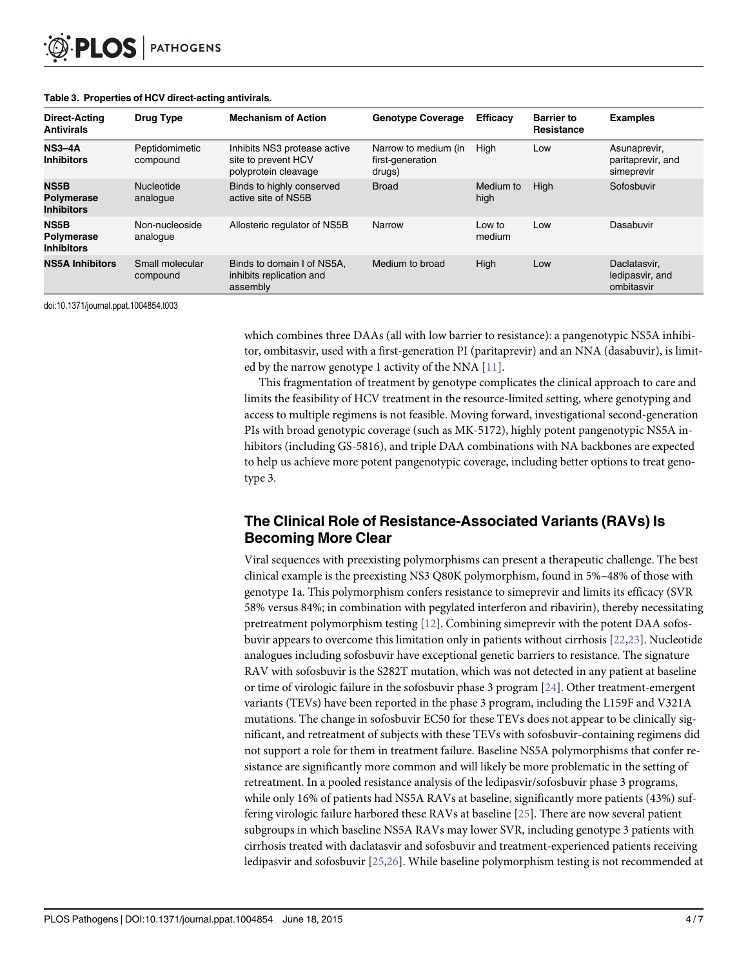| Direct-Acting<br><b>Antivirals</b>                    | Drug Type                   | <b>Mechanism of Action</b>                                                  | <b>Genotype Coverage</b>                           | <b>Efficacy</b>   | <b>Barrier to</b><br>Resistance | <b>Examples</b>                                 |
|-------------------------------------------------------|-----------------------------|-----------------------------------------------------------------------------|----------------------------------------------------|-------------------|---------------------------------|-------------------------------------------------|
| $NS3-4A$<br><b>Inhibitors</b>                         | Peptidomimetic<br>compound  | Inhibits NS3 protease active<br>site to prevent HCV<br>polyprotein cleavage | Narrow to medium (in<br>first-generation<br>drugs) | High              | Low                             | Asunaprevir,<br>paritaprevir, and<br>simeprevir |
| <b>NS5B</b><br>Polymerase<br><b>Inhibitors</b>        | Nucleotide<br>analogue      | Binds to highly conserved<br>active site of NS5B                            | <b>Broad</b>                                       | Medium to<br>high | High                            | Sofosbuvir                                      |
| <b>NS5B</b><br><b>Polymerase</b><br><b>Inhibitors</b> | Non-nucleoside<br>analogue  | Allosteric regulator of NS5B                                                | Narrow                                             | Low to<br>medium  | Low                             | Dasabuvir                                       |
| <b>NS5A Inhibitors</b>                                | Small molecular<br>compound | Binds to domain I of NS5A.<br>inhibits replication and<br>assembly          | Medium to broad                                    | High              | Low                             | Daclatasvir.<br>ledipasvir, and<br>ombitasvir   |

#### <span id="page-3-0"></span>[Table 3.](#page-1-0) Properties of HCV direct-acting antivirals.

doi:10.1371/journal.ppat.1004854.t003

which combines three DAAs (all with low barrier to resistance): a pangenotypic NS5A inhibitor, ombitasvir, used with a first-generation PI (paritaprevir) and an NNA (dasabuvir), is limited by the narrow genotype 1 activity of the NNA [[11\]](#page-5-0).

This fragmentation of treatment by genotype complicates the clinical approach to care and limits the feasibility of HCV treatment in the resource-limited setting, where genotyping and access to multiple regimens is not feasible. Moving forward, investigational second-generation PIs with broad genotypic coverage (such as MK-5172), highly potent pangenotypic NS5A inhibitors (including GS-5816), and triple DAA combinations with NA backbones are expected to help us achieve more potent pangenotypic coverage, including better options to treat genotype 3.

## The Clinical Role of Resistance-Associated Variants (RAVs) Is Becoming More Clear

Viral sequences with preexisting polymorphisms can present a therapeutic challenge. The best clinical example is the preexisting NS3 Q80K polymorphism, found in 5%–48% of those with genotype 1a. This polymorphism confers resistance to simeprevir and limits its efficacy (SVR 58% versus 84%; in combination with pegylated interferon and ribavirin), thereby necessitating pretreatment polymorphism testing  $[12]$  $[12]$  $[12]$ . Combining simeprevir with the potent DAA sofosbuvir appears to overcome this limitation only in patients without cirrhosis [\[22,23\]](#page-6-0). Nucleotide analogues including sofosbuvir have exceptional genetic barriers to resistance. The signature RAV with sofosbuvir is the S282T mutation, which was not detected in any patient at baseline or time of virologic failure in the sofosbuvir phase 3 program  $[24]$ . Other treatment-emergent variants (TEVs) have been reported in the phase 3 program, including the L159F and V321A mutations. The change in sofosbuvir EC50 for these TEVs does not appear to be clinically significant, and retreatment of subjects with these TEVs with sofosbuvir-containing regimens did not support a role for them in treatment failure. Baseline NS5A polymorphisms that confer resistance are significantly more common and will likely be more problematic in the setting of retreatment. In a pooled resistance analysis of the ledipasvir/sofosbuvir phase 3 programs, while only 16% of patients had NS5A RAVs at baseline, significantly more patients (43%) suffering virologic failure harbored these RAVs at baseline [\[25\]](#page-6-0). There are now several patient subgroups in which baseline NS5A RAVs may lower SVR, including genotype 3 patients with cirrhosis treated with daclatasvir and sofosbuvir and treatment-experienced patients receiving ledipasvir and sofosbuvir [[25,26](#page-6-0)]. While baseline polymorphism testing is not recommended at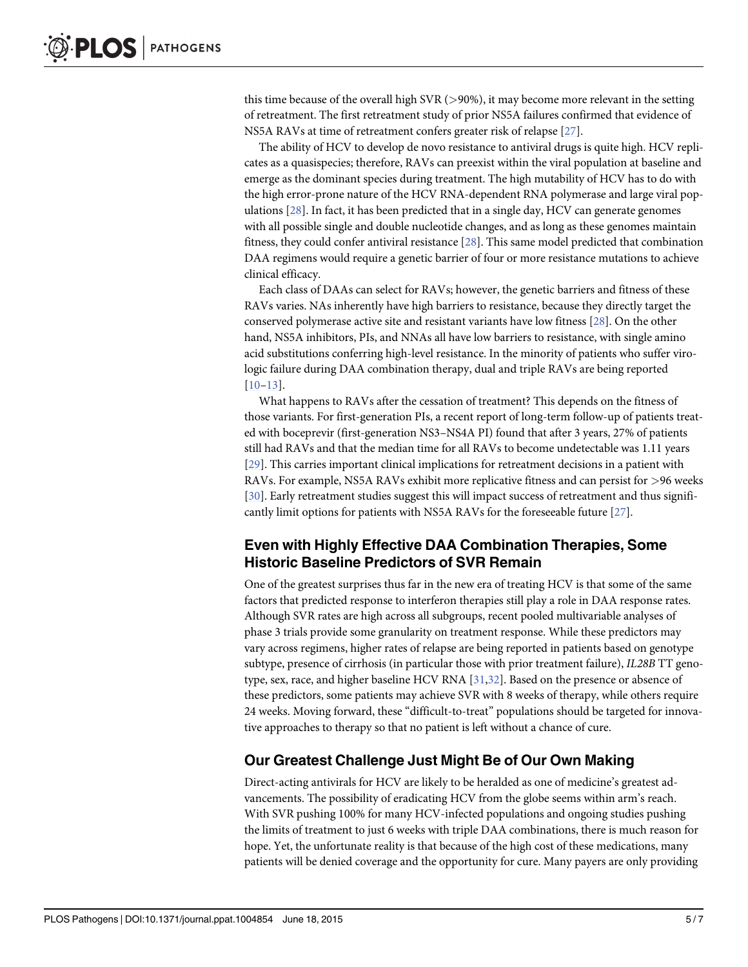<span id="page-4-0"></span>this time because of the overall high SVR  $(>90\%)$ , it may become more relevant in the setting of retreatment. The first retreatment study of prior NS5A failures confirmed that evidence of NS5A RAVs at time of retreatment confers greater risk of relapse [\[27\]](#page-6-0).

The ability of HCV to develop de novo resistance to antiviral drugs is quite high. HCV replicates as a quasispecies; therefore, RAVs can preexist within the viral population at baseline and emerge as the dominant species during treatment. The high mutability of HCV has to do with the high error-prone nature of the HCV RNA-dependent RNA polymerase and large viral populations [\[28](#page-6-0)]. In fact, it has been predicted that in a single day, HCV can generate genomes with all possible single and double nucleotide changes, and as long as these genomes maintain fitness, they could confer antiviral resistance [[28](#page-6-0)]. This same model predicted that combination DAA regimens would require a genetic barrier of four or more resistance mutations to achieve clinical efficacy.

Each class of DAAs can select for RAVs; however, the genetic barriers and fitness of these RAVs varies. NAs inherently have high barriers to resistance, because they directly target the conserved polymerase active site and resistant variants have low fitness [[28](#page-6-0)]. On the other hand, NS5A inhibitors, PIs, and NNAs all have low barriers to resistance, with single amino acid substitutions conferring high-level resistance. In the minority of patients who suffer virologic failure during DAA combination therapy, dual and triple RAVs are being reported [\[10](#page-5-0)–[13\]](#page-5-0).

What happens to RAVs after the cessation of treatment? This depends on the fitness of those variants. For first-generation PIs, a recent report of long-term follow-up of patients treated with boceprevir (first-generation NS3–NS4A PI) found that after 3 years, 27% of patients still had RAVs and that the median time for all RAVs to become undetectable was 1.11 years [\[29](#page-6-0)]. This carries important clinical implications for retreatment decisions in a patient with RAVs. For example, NS5A RAVs exhibit more replicative fitness and can persist for >96 weeks [\[30](#page-6-0)]. Early retreatment studies suggest this will impact success of retreatment and thus significantly limit options for patients with NS5A RAVs for the foreseeable future [\[27\]](#page-6-0).

## Even with Highly Effective DAA Combination Therapies, Some Historic Baseline Predictors of SVR Remain

One of the greatest surprises thus far in the new era of treating HCV is that some of the same factors that predicted response to interferon therapies still play a role in DAA response rates. Although SVR rates are high across all subgroups, recent pooled multivariable analyses of phase 3 trials provide some granularity on treatment response. While these predictors may vary across regimens, higher rates of relapse are being reported in patients based on genotype subtype, presence of cirrhosis (in particular those with prior treatment failure), IL28B TT genotype, sex, race, and higher baseline HCV RNA [[31,32](#page-6-0)]. Based on the presence or absence of these predictors, some patients may achieve SVR with 8 weeks of therapy, while others require 24 weeks. Moving forward, these "difficult-to-treat" populations should be targeted for innovative approaches to therapy so that no patient is left without a chance of cure.

## Our Greatest Challenge Just Might Be of Our Own Making

Direct-acting antivirals for HCV are likely to be heralded as one of medicine's greatest advancements. The possibility of eradicating HCV from the globe seems within arm's reach. With SVR pushing 100% for many HCV-infected populations and ongoing studies pushing the limits of treatment to just 6 weeks with triple DAA combinations, there is much reason for hope. Yet, the unfortunate reality is that because of the high cost of these medications, many patients will be denied coverage and the opportunity for cure. Many payers are only providing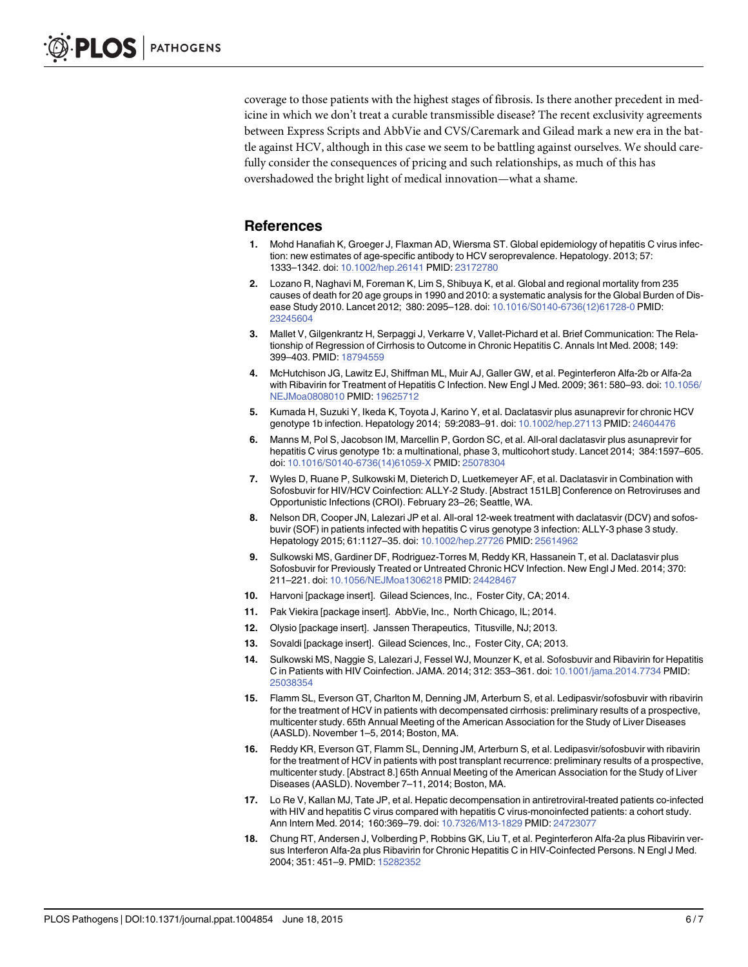<span id="page-5-0"></span>coverage to those patients with the highest stages of fibrosis. Is there another precedent in medicine in which we don't treat a curable transmissible disease? The recent exclusivity agreements between Express Scripts and AbbVie and CVS/Caremark and Gilead mark a new era in the battle against HCV, although in this case we seem to be battling against ourselves. We should carefully consider the consequences of pricing and such relationships, as much of this has overshadowed the bright light of medical innovation—what a shame.

## **References**

- [1.](#page-0-0) Mohd Hanafiah K, Groeger J, Flaxman AD, Wiersma ST. Global epidemiology of hepatitis C virus infection: new estimates of age-specific antibody to HCV seroprevalence. Hepatology. 2013; 57: 1333–1342. doi: [10.1002/hep.26141](http://dx.doi.org/10.1002/hep.26141) PMID: [23172780](http://www.ncbi.nlm.nih.gov/pubmed/23172780)
- [2.](#page-0-0) Lozano R, Naghavi M, Foreman K, Lim S, Shibuya K, et al. Global and regional mortality from 235 causes of death for 20 age groups in 1990 and 2010: a systematic analysis for the Global Burden of Disease Study 2010. Lancet 2012; 380: 2095–128. doi: [10.1016/S0140-6736\(12\)61728-0](http://dx.doi.org/10.1016/S0140-6736(12)61728-0) PMID: [23245604](http://www.ncbi.nlm.nih.gov/pubmed/23245604)
- [3.](#page-0-0) Mallet V, Gilgenkrantz H, Serpaggi J, Verkarre V, Vallet-Pichard et al. Brief Communication: The Relationship of Regression of Cirrhosis to Outcome in Chronic Hepatitis C. Annals Int Med. 2008; 149: 399–403. PMID: [18794559](http://www.ncbi.nlm.nih.gov/pubmed/18794559)
- [4.](#page-0-0) McHutchison JG, Lawitz EJ, Shiffman ML, Muir AJ, Galler GW, et al. Peginterferon Alfa-2b or Alfa-2a with Ribavirin for Treatment of Hepatitis C Infection. New Engl J Med. 2009; 361: 580–93. doi: [10.1056/](http://dx.doi.org/10.1056/NEJMoa0808010) [NEJMoa0808010](http://dx.doi.org/10.1056/NEJMoa0808010) PMID: [19625712](http://www.ncbi.nlm.nih.gov/pubmed/19625712)
- [5.](#page-0-0) Kumada H, Suzuki Y, Ikeda K, Toyota J, Karino Y, et al. Daclatasvir plus asunaprevir for chronic HCV genotype 1b infection. Hepatology 2014; 59:2083–91. doi: [10.1002/hep.27113](http://dx.doi.org/10.1002/hep.27113) PMID: [24604476](http://www.ncbi.nlm.nih.gov/pubmed/24604476)
- [6.](#page-1-0) Manns M, Pol S, Jacobson IM, Marcellin P, Gordon SC, et al. All-oral daclatasvir plus asunaprevir for hepatitis C virus genotype 1b: a multinational, phase 3, multicohort study. Lancet 2014; 384:1597–605. doi: [10.1016/S0140-6736\(14\)61059-X](http://dx.doi.org/10.1016/S0140-6736(14)61059-X) PMID: [25078304](http://www.ncbi.nlm.nih.gov/pubmed/25078304)
- [7.](#page-1-0) Wyles D, Ruane P, Sulkowski M, Dieterich D, Luetkemeyer AF, et al. Daclatasvir in Combination with Sofosbuvir for HIV/HCV Coinfection: ALLY-2 Study. [Abstract 151LB] Conference on Retroviruses and Opportunistic Infections (CROI). February 23–26; Seattle, WA.
- [8.](#page-2-0) Nelson DR, Cooper JN, Lalezari JP et al. All-oral 12-week treatment with daclatasvir (DCV) and sofosbuvir (SOF) in patients infected with hepatitis C virus genotype 3 infection: ALLY-3 phase 3 study. Hepatology 2015; 61:1127–35. doi: [10.1002/hep.27726](http://dx.doi.org/10.1002/hep.27726) PMID: [25614962](http://www.ncbi.nlm.nih.gov/pubmed/25614962)
- [9.](#page-1-0) Sulkowski MS, Gardiner DF, Rodriguez-Torres M, Reddy KR, Hassanein T, et al. Daclatasvir plus Sofosbuvir for Previously Treated or Untreated Chronic HCV Infection. New Engl J Med. 2014; 370: 211–221. doi: [10.1056/NEJMoa1306218](http://dx.doi.org/10.1056/NEJMoa1306218) PMID: [24428467](http://www.ncbi.nlm.nih.gov/pubmed/24428467)
- [10.](#page-1-0) Harvoni [package insert]. Gilead Sciences, Inc., Foster City, CA; 2014.
- [11.](#page-1-0) Pak Viekira [package insert]. AbbVie, Inc., North Chicago, IL; 2014.
- [12.](#page-1-0) Olysio [package insert]. Janssen Therapeutics, Titusville, NJ; 2013.
- [13.](#page-0-0) Sovaldi [package insert]. Gilead Sciences, Inc., Foster City, CA; 2013.
- [14.](#page-0-0) Sulkowski MS, Naggie S, Lalezari J, Fessel WJ, Mounzer K, et al. Sofosbuvir and Ribavirin for Hepatitis C in Patients with HIV Coinfection. JAMA. 2014; 312: 353–361. doi: [10.1001/jama.2014.7734](http://dx.doi.org/10.1001/jama.2014.7734) PMID: [25038354](http://www.ncbi.nlm.nih.gov/pubmed/25038354)
- [15.](#page-1-0) Flamm SL, Everson GT, Charlton M, Denning JM, Arterburn S, et al. Ledipasvir/sofosbuvir with ribavirin for the treatment of HCV in patients with decompensated cirrhosis: preliminary results of a prospective, multicenter study. 65th Annual Meeting of the American Association for the Study of Liver Diseases (AASLD). November 1–5, 2014; Boston, MA.
- [16.](#page-0-0) Reddy KR, Everson GT, Flamm SL, Denning JM, Arterburn S, et al. Ledipasvir/sofosbuvir with ribavirin for the treatment of HCV in patients with post transplant recurrence: preliminary results of a prospective, multicenter study. [Abstract 8.] 65th Annual Meeting of the American Association for the Study of Liver Diseases (AASLD). November 7–11, 2014; Boston, MA.
- [17.](#page-0-0) Lo Re V, Kallan MJ, Tate JP, et al. Hepatic decompensation in antiretroviral-treated patients co-infected with HIV and hepatitis C virus compared with hepatitis C virus-monoinfected patients: a cohort study. Ann Intern Med. 2014; 160:369-79. doi: [10.7326/M13-1829](http://dx.doi.org/10.7326/M13-1829) PMID: [24723077](http://www.ncbi.nlm.nih.gov/pubmed/24723077)
- [18.](#page-0-0) Chung RT, Andersen J, Volberding P, Robbins GK, Liu T, et al. Peginterferon Alfa-2a plus Ribavirin versus Interferon Alfa-2a plus Ribavirin for Chronic Hepatitis C in HIV-Coinfected Persons. N Engl J Med. 2004; 351: 451–9. PMID: [15282352](http://www.ncbi.nlm.nih.gov/pubmed/15282352)